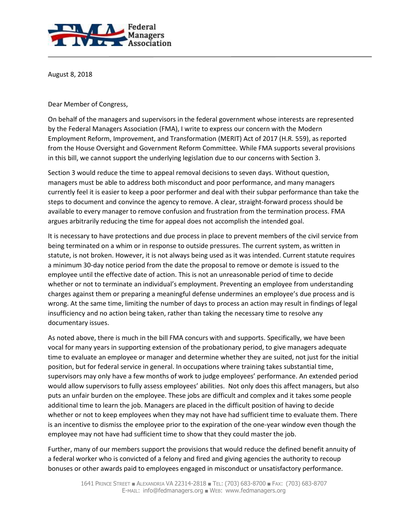

August 8, 2018

Dear Member of Congress,

On behalf of the managers and supervisors in the federal government whose interests are represented by the Federal Managers Association (FMA), I write to express our concern with the Modern Employment Reform, Improvement, and Transformation (MERIT) Act of 2017 (H.R. 559), as reported from the House Oversight and Government Reform Committee. While FMA supports several provisions in this bill, we cannot support the underlying legislation due to our concerns with Section 3.

Section 3 would reduce the time to appeal removal decisions to seven days. Without question, managers must be able to address both misconduct and poor performance, and many managers currently feel it is easier to keep a poor performer and deal with their subpar performance than take the steps to document and convince the agency to remove. A clear, straight-forward process should be available to every manager to remove confusion and frustration from the termination process. FMA argues arbitrarily reducing the time for appeal does not accomplish the intended goal.

It is necessary to have protections and due process in place to prevent members of the civil service from being terminated on a whim or in response to outside pressures. The current system, as written in statute, is not broken. However, it is not always being used as it was intended. Current statute requires a minimum 30-day notice period from the date the proposal to remove or demote is issued to the employee until the effective date of action. This is not an unreasonable period of time to decide whether or not to terminate an individual's employment. Preventing an employee from understanding charges against them or preparing a meaningful defense undermines an employee's due process and is wrong. At the same time, limiting the number of days to process an action may result in findings of legal insufficiency and no action being taken, rather than taking the necessary time to resolve any documentary issues.

As noted above, there is much in the bill FMA concurs with and supports. Specifically, we have been vocal for many years in supporting extension of the probationary period, to give managers adequate time to evaluate an employee or manager and determine whether they are suited, not just for the initial position, but for federal service in general. In occupations where training takes substantial time, supervisors may only have a few months of work to judge employees' performance. An extended period would allow supervisors to fully assess employees' abilities. Not only does this affect managers, but also puts an unfair burden on the employee. These jobs are difficult and complex and it takes some people additional time to learn the job. Managers are placed in the difficult position of having to decide whether or not to keep employees when they may not have had sufficient time to evaluate them. There is an incentive to dismiss the employee prior to the expiration of the one-year window even though the employee may not have had sufficient time to show that they could master the job.

Further, many of our members support the provisions that would reduce the defined benefit annuity of a federal worker who is convicted of a felony and fired and giving agencies the authority to recoup bonuses or other awards paid to employees engaged in misconduct or unsatisfactory performance.